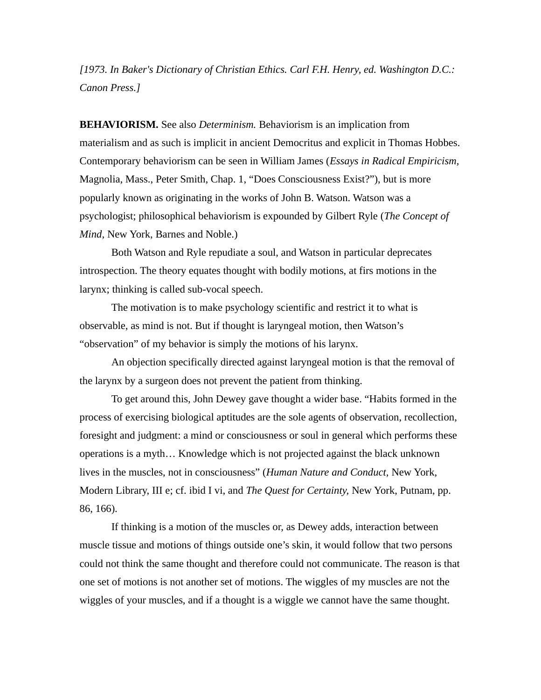*[1973. In Baker's Dictionary of Christian Ethics. Carl F.H. Henry, ed. Washington D.C.: Canon Press.]*

**BEHAVIORISM.** See also *Determinism.* Behaviorism is an implication from materialism and as such is implicit in ancient Democritus and explicit in Thomas Hobbes. Contemporary behaviorism can be seen in William James (*Essays in Radical Empiricism,* Magnolia, Mass., Peter Smith, Chap. 1, "Does Consciousness Exist?"), but is more popularly known as originating in the works of John B. Watson. Watson was a psychologist; philosophical behaviorism is expounded by Gilbert Ryle (*The Concept of Mind,* New York, Barnes and Noble.)

Both Watson and Ryle repudiate a soul, and Watson in particular deprecates introspection. The theory equates thought with bodily motions, at firs motions in the larynx; thinking is called sub-vocal speech.

The motivation is to make psychology scientific and restrict it to what is observable, as mind is not. But if thought is laryngeal motion, then Watson's "observation" of my behavior is simply the motions of his larynx.

An objection specifically directed against laryngeal motion is that the removal of the larynx by a surgeon does not prevent the patient from thinking.

To get around this, John Dewey gave thought a wider base. "Habits formed in the process of exercising biological aptitudes are the sole agents of observation, recollection, foresight and judgment: a mind or consciousness or soul in general which performs these operations is a myth… Knowledge which is not projected against the black unknown lives in the muscles, not in consciousness" (*Human Nature and Conduct,* New York, Modern Library, III e; cf. ibid I vi, and *The Quest for Certainty,* New York, Putnam, pp. 86, 166).

If thinking is a motion of the muscles or, as Dewey adds, interaction between muscle tissue and motions of things outside one's skin, it would follow that two persons could not think the same thought and therefore could not communicate. The reason is that one set of motions is not another set of motions. The wiggles of my muscles are not the wiggles of your muscles, and if a thought is a wiggle we cannot have the same thought.